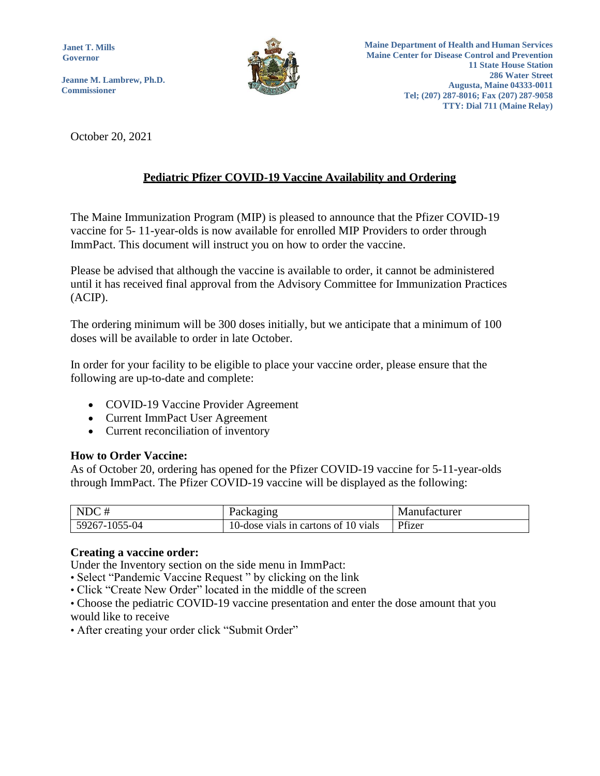**Janet T. Mills Governor**

**Jeanne M. Lambrew, Ph.D. Commissioner**



October 20, 2021

## **Pediatric Pfizer COVID-19 Vaccine Availability and Ordering**

The Maine Immunization Program (MIP) is pleased to announce that the Pfizer COVID-19 vaccine for 5- 11-year-olds is now available for enrolled MIP Providers to order through ImmPact. This document will instruct you on how to order the vaccine.

Please be advised that although the vaccine is available to order, it cannot be administered until it has received final approval from the Advisory Committee for Immunization Practices (ACIP).

The ordering minimum will be 300 doses initially, but we anticipate that a minimum of 100 doses will be available to order in late October.

In order for your facility to be eligible to place your vaccine order, please ensure that the following are up-to-date and complete:

- COVID-19 Vaccine Provider Agreement
- Current ImmPact User Agreement
- Current reconciliation of inventory

## **How to Order Vaccine:**

As of October 20, ordering has opened for the Pfizer COVID-19 vaccine for 5-11-year-olds through ImmPact. The Pfizer COVID-19 vaccine will be displayed as the following:

| NDC#          | Packaging                            | Manufacturer |
|---------------|--------------------------------------|--------------|
| 59267-1055-04 | 10-dose vials in cartons of 10 vials | Pfizer       |

## **Creating a vaccine order:**

Under the Inventory section on the side menu in ImmPact:

• Select "Pandemic Vaccine Request " by clicking on the link

• Click "Create New Order" located in the middle of the screen

• Choose the pediatric COVID-19 vaccine presentation and enter the dose amount that you would like to receive

• After creating your order click "Submit Order"